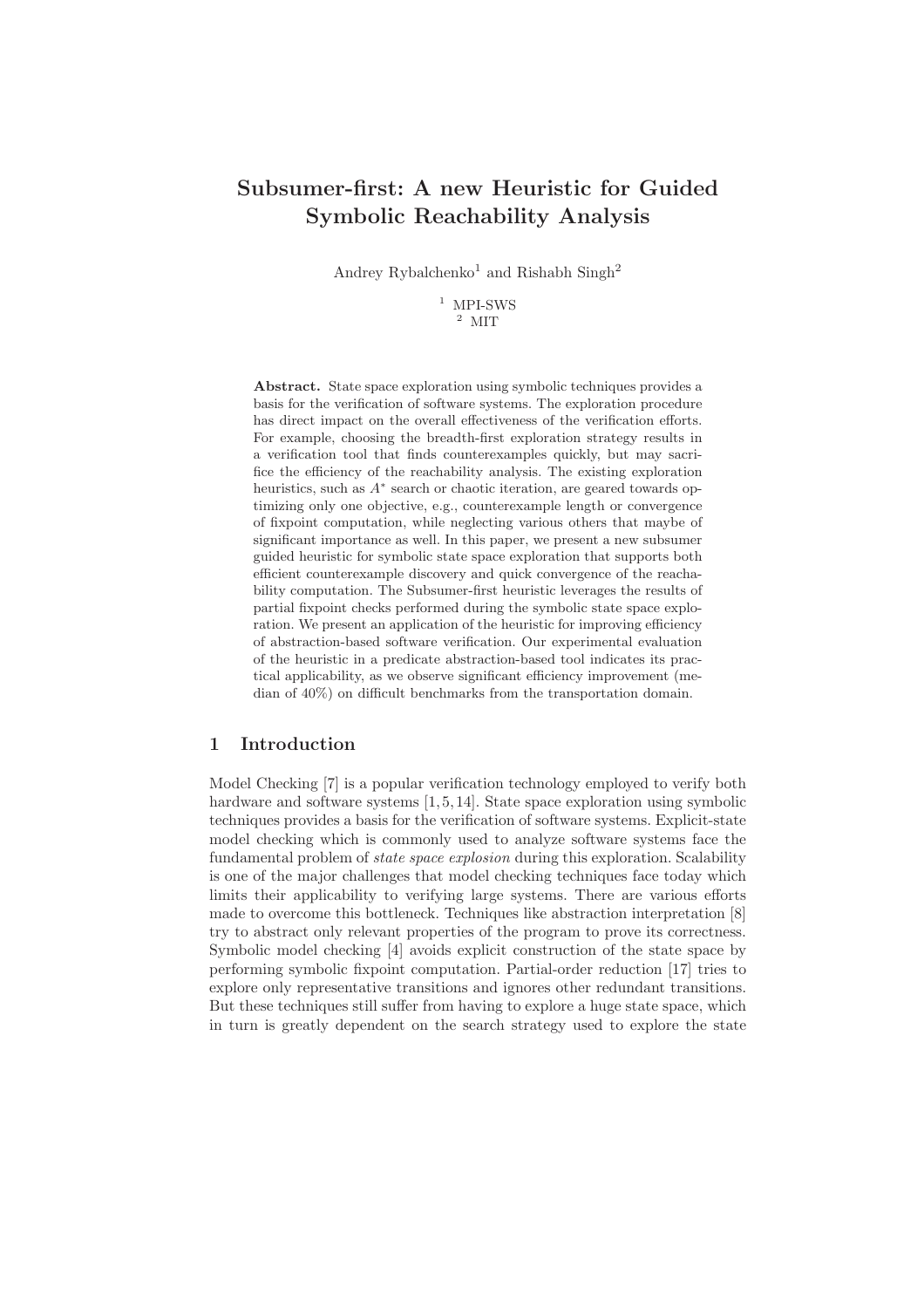# Subsumer-first: A new Heuristic for Guided Symbolic Reachability Analysis

Andrey Rybalchenko<sup>1</sup> and Rishabh Singh<sup>2</sup>

 $^{\rm 1}$  MPI-SWS <sup>2</sup> MIT

Abstract. State space exploration using symbolic techniques provides a basis for the verification of software systems. The exploration procedure has direct impact on the overall effectiveness of the verification efforts. For example, choosing the breadth-first exploration strategy results in a verification tool that finds counterexamples quickly, but may sacrifice the efficiency of the reachability analysis. The existing exploration heuristics, such as  $A^*$  search or chaotic iteration, are geared towards optimizing only one objective, e.g., counterexample length or convergence of fixpoint computation, while neglecting various others that maybe of significant importance as well. In this paper, we present a new subsumer guided heuristic for symbolic state space exploration that supports both efficient counterexample discovery and quick convergence of the reachability computation. The Subsumer-first heuristic leverages the results of partial fixpoint checks performed during the symbolic state space exploration. We present an application of the heuristic for improving efficiency of abstraction-based software verification. Our experimental evaluation of the heuristic in a predicate abstraction-based tool indicates its practical applicability, as we observe significant efficiency improvement (median of 40%) on difficult benchmarks from the transportation domain.

## 1 Introduction

Model Checking [7] is a popular verification technology employed to verify both hardware and software systems [1, 5, 14]. State space exploration using symbolic techniques provides a basis for the verification of software systems. Explicit-state model checking which is commonly used to analyze software systems face the fundamental problem of state space explosion during this exploration. Scalability is one of the major challenges that model checking techniques face today which limits their applicability to verifying large systems. There are various efforts made to overcome this bottleneck. Techniques like abstraction interpretation [8] try to abstract only relevant properties of the program to prove its correctness. Symbolic model checking [4] avoids explicit construction of the state space by performing symbolic fixpoint computation. Partial-order reduction [17] tries to explore only representative transitions and ignores other redundant transitions. But these techniques still suffer from having to explore a huge state space, which in turn is greatly dependent on the search strategy used to explore the state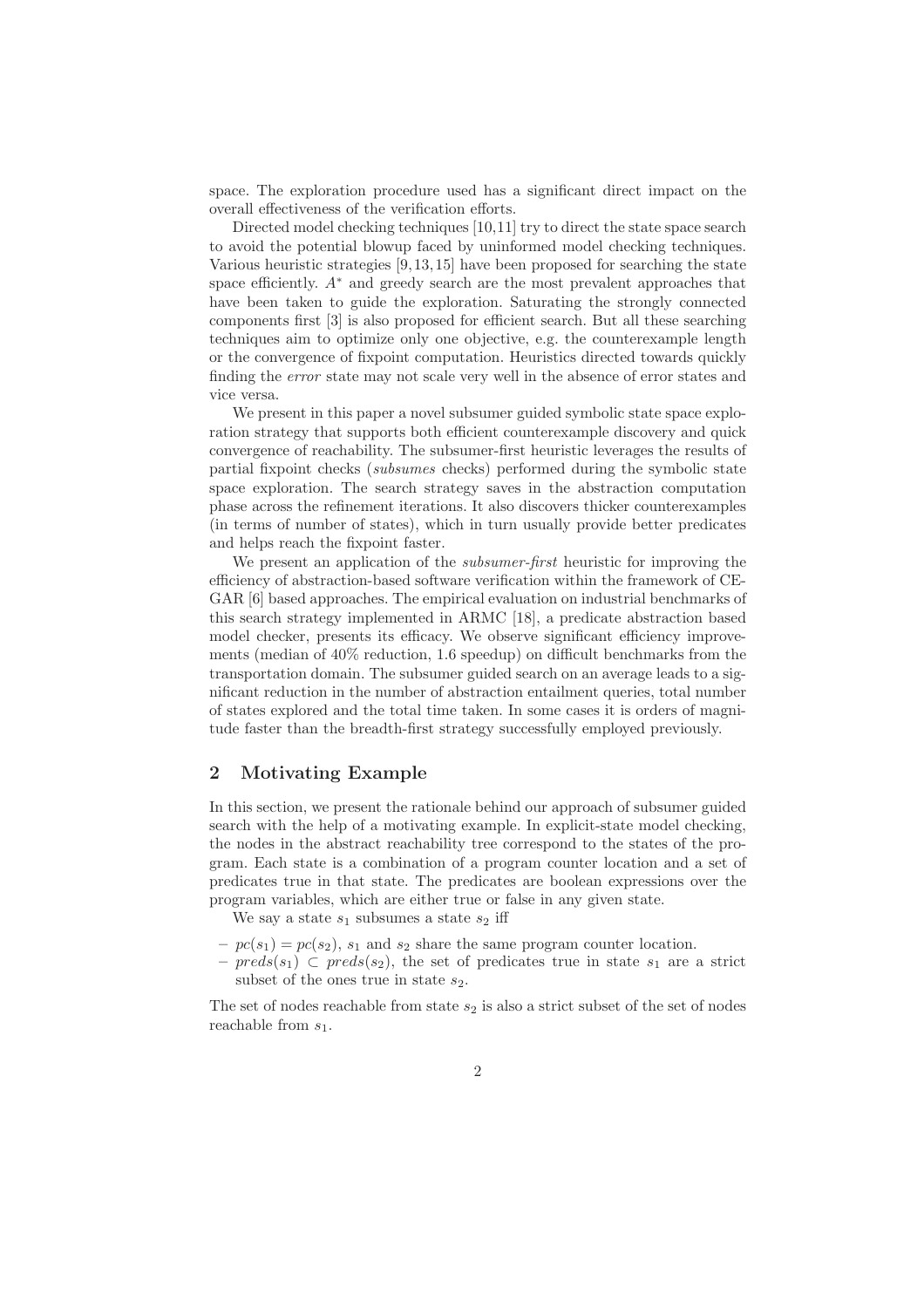space. The exploration procedure used has a significant direct impact on the overall effectiveness of the verification efforts.

Directed model checking techniques [10,11] try to direct the state space search to avoid the potential blowup faced by uninformed model checking techniques. Various heuristic strategies [9, 13, 15] have been proposed for searching the state space efficiently.  $A^*$  and greedy search are the most prevalent approaches that have been taken to guide the exploration. Saturating the strongly connected components first [3] is also proposed for efficient search. But all these searching techniques aim to optimize only one objective, e.g. the counterexample length or the convergence of fixpoint computation. Heuristics directed towards quickly finding the error state may not scale very well in the absence of error states and vice versa.

We present in this paper a novel subsumer guided symbolic state space exploration strategy that supports both efficient counterexample discovery and quick convergence of reachability. The subsumer-first heuristic leverages the results of partial fixpoint checks (subsumes checks) performed during the symbolic state space exploration. The search strategy saves in the abstraction computation phase across the refinement iterations. It also discovers thicker counterexamples (in terms of number of states), which in turn usually provide better predicates and helps reach the fixpoint faster.

We present an application of the *subsumer-first* heuristic for improving the efficiency of abstraction-based software verification within the framework of CE-GAR [6] based approaches. The empirical evaluation on industrial benchmarks of this search strategy implemented in ARMC [18], a predicate abstraction based model checker, presents its efficacy. We observe significant efficiency improvements (median of 40% reduction, 1.6 speedup) on difficult benchmarks from the transportation domain. The subsumer guided search on an average leads to a significant reduction in the number of abstraction entailment queries, total number of states explored and the total time taken. In some cases it is orders of magnitude faster than the breadth-first strategy successfully employed previously.

## 2 Motivating Example

In this section, we present the rationale behind our approach of subsumer guided search with the help of a motivating example. In explicit-state model checking, the nodes in the abstract reachability tree correspond to the states of the program. Each state is a combination of a program counter location and a set of predicates true in that state. The predicates are boolean expressions over the program variables, which are either true or false in any given state.

We say a state  $s_1$  subsumes a state  $s_2$  iff

- $p(x_1) = pc(s_2)$ ,  $s_1$  and  $s_2$  share the same program counter location.
- $\text{preds}(s_1) \subset \text{preds}(s_2)$ , the set of predicates true in state  $s_1$  are a strict subset of the ones true in state  $s_2$ .

The set of nodes reachable from state  $s_2$  is also a strict subset of the set of nodes reachable from  $s_1$ .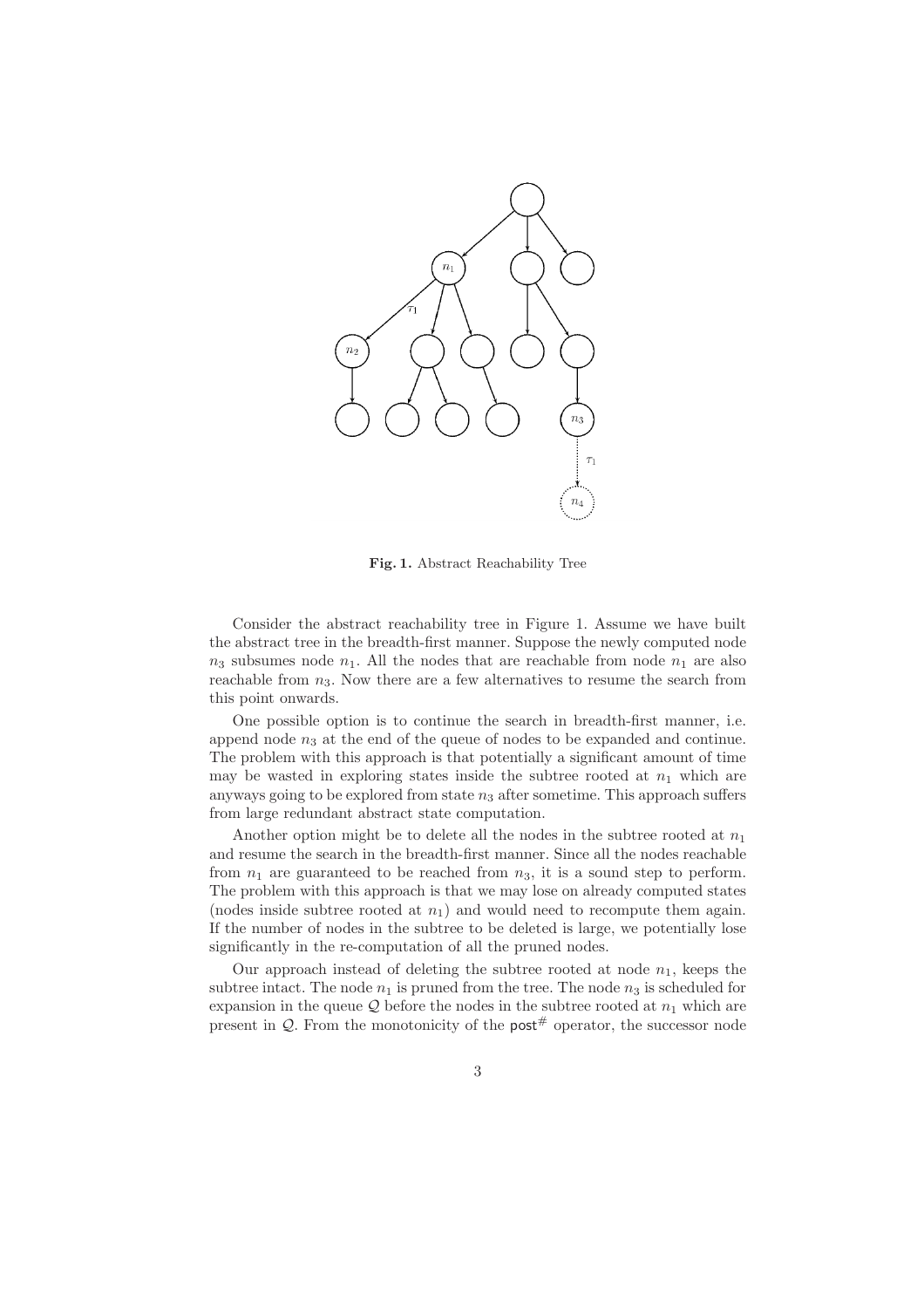

Fig. 1. Abstract Reachability Tree

Consider the abstract reachability tree in Figure 1. Assume we have built the abstract tree in the breadth-first manner. Suppose the newly computed node  $n_3$  subsumes node  $n_1$ . All the nodes that are reachable from node  $n_1$  are also reachable from  $n_3$ . Now there are a few alternatives to resume the search from this point onwards.

One possible option is to continue the search in breadth-first manner, i.e. append node  $n_3$  at the end of the queue of nodes to be expanded and continue. The problem with this approach is that potentially a significant amount of time may be wasted in exploring states inside the subtree rooted at  $n_1$  which are anyways going to be explored from state  $n_3$  after sometime. This approach suffers from large redundant abstract state computation.

Another option might be to delete all the nodes in the subtree rooted at  $n_1$ and resume the search in the breadth-first manner. Since all the nodes reachable from  $n_1$  are guaranteed to be reached from  $n_3$ , it is a sound step to perform. The problem with this approach is that we may lose on already computed states (nodes inside subtree rooted at  $n_1$ ) and would need to recompute them again. If the number of nodes in the subtree to be deleted is large, we potentially lose significantly in the re-computation of all the pruned nodes.

Our approach instead of deleting the subtree rooted at node  $n_1$ , keeps the subtree intact. The node  $n_1$  is pruned from the tree. The node  $n_3$  is scheduled for expansion in the queue  $\mathcal Q$  before the nodes in the subtree rooted at  $n_1$  which are present in  $\mathcal{Q}$ . From the monotonicity of the post<sup>#</sup> operator, the successor node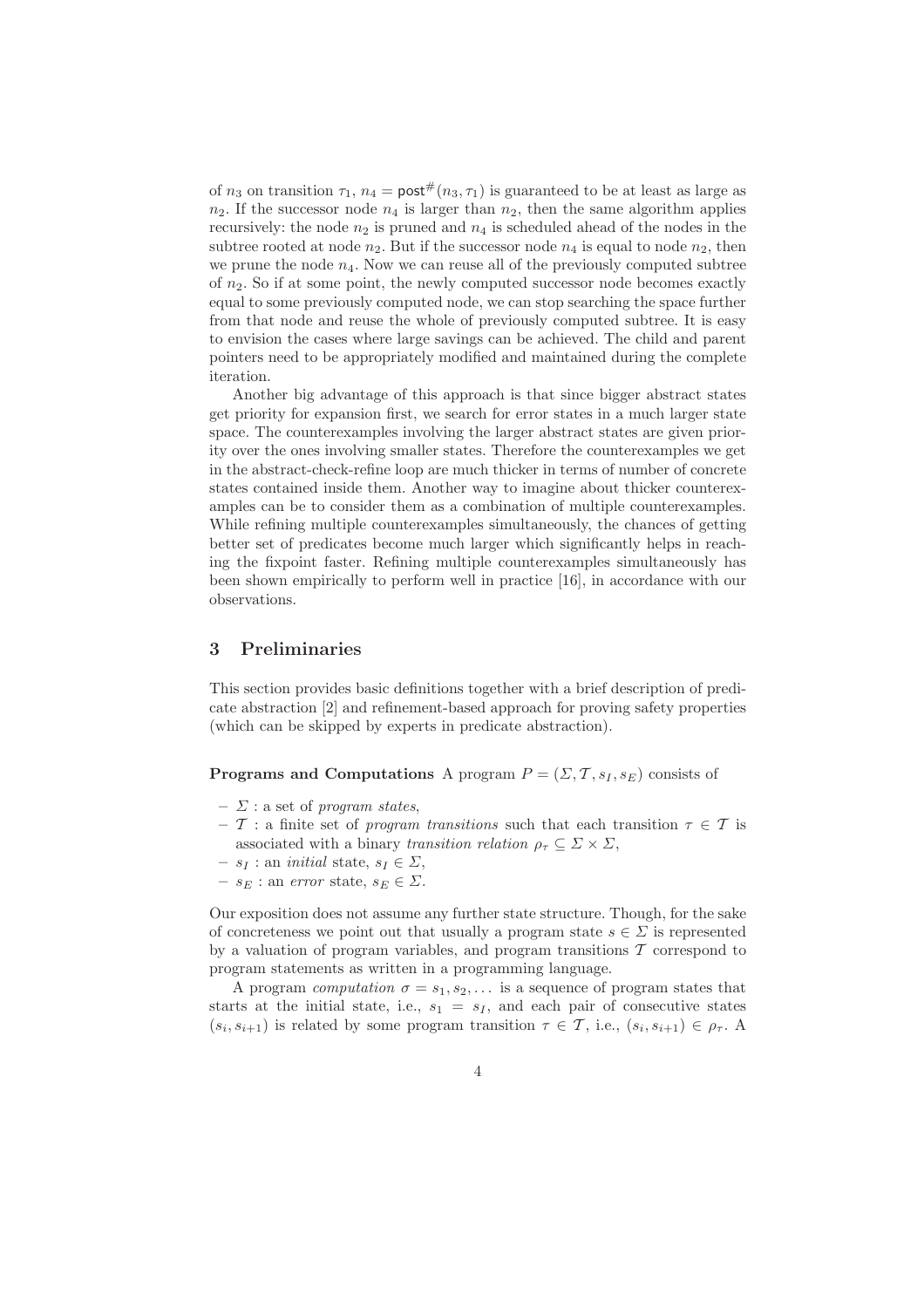of  $n_3$  on transition  $\tau_1$ ,  $n_4 = \text{post}^{\#}(n_3, \tau_1)$  is guaranteed to be at least as large as  $n_2$ . If the successor node  $n_4$  is larger than  $n_2$ , then the same algorithm applies recursively: the node  $n_2$  is pruned and  $n_4$  is scheduled ahead of the nodes in the subtree rooted at node  $n_2$ . But if the successor node  $n_4$  is equal to node  $n_2$ , then we prune the node  $n_4$ . Now we can reuse all of the previously computed subtree of  $n_2$ . So if at some point, the newly computed successor node becomes exactly equal to some previously computed node, we can stop searching the space further from that node and reuse the whole of previously computed subtree. It is easy to envision the cases where large savings can be achieved. The child and parent pointers need to be appropriately modified and maintained during the complete iteration.

Another big advantage of this approach is that since bigger abstract states get priority for expansion first, we search for error states in a much larger state space. The counterexamples involving the larger abstract states are given priority over the ones involving smaller states. Therefore the counterexamples we get in the abstract-check-refine loop are much thicker in terms of number of concrete states contained inside them. Another way to imagine about thicker counterexamples can be to consider them as a combination of multiple counterexamples. While refining multiple counterexamples simultaneously, the chances of getting better set of predicates become much larger which significantly helps in reaching the fixpoint faster. Refining multiple counterexamples simultaneously has been shown empirically to perform well in practice [16], in accordance with our observations.

## 3 Preliminaries

This section provides basic definitions together with a brief description of predicate abstraction [2] and refinement-based approach for proving safety properties (which can be skipped by experts in predicate abstraction).

## **Programs and Computations** A program  $P = (\Sigma, T, s_I, s_E)$  consists of

- $\Sigma$ : a set of program states,
- T : a finite set of program transitions such that each transition  $\tau \in \mathcal{T}$  is associated with a binary transition relation  $\rho_{\tau} \subseteq \Sigma \times \Sigma$ ,
- $s_I :$  an *initial* state,  $s_I \in \Sigma$ ,
- $s_E$ : an error state,  $s_E \in \Sigma$ .

Our exposition does not assume any further state structure. Though, for the sake of concreteness we point out that usually a program state  $s \in \Sigma$  is represented by a valuation of program variables, and program transitions  $\mathcal T$  correspond to program statements as written in a programming language.

A program *computation*  $\sigma = s_1, s_2, \ldots$  is a sequence of program states that starts at the initial state, i.e.,  $s_1 = s_I$ , and each pair of consecutive states  $(s_i, s_{i+1})$  is related by some program transition  $\tau \in \mathcal{T}$ , i.e.,  $(s_i, s_{i+1}) \in \rho_{\tau}$ .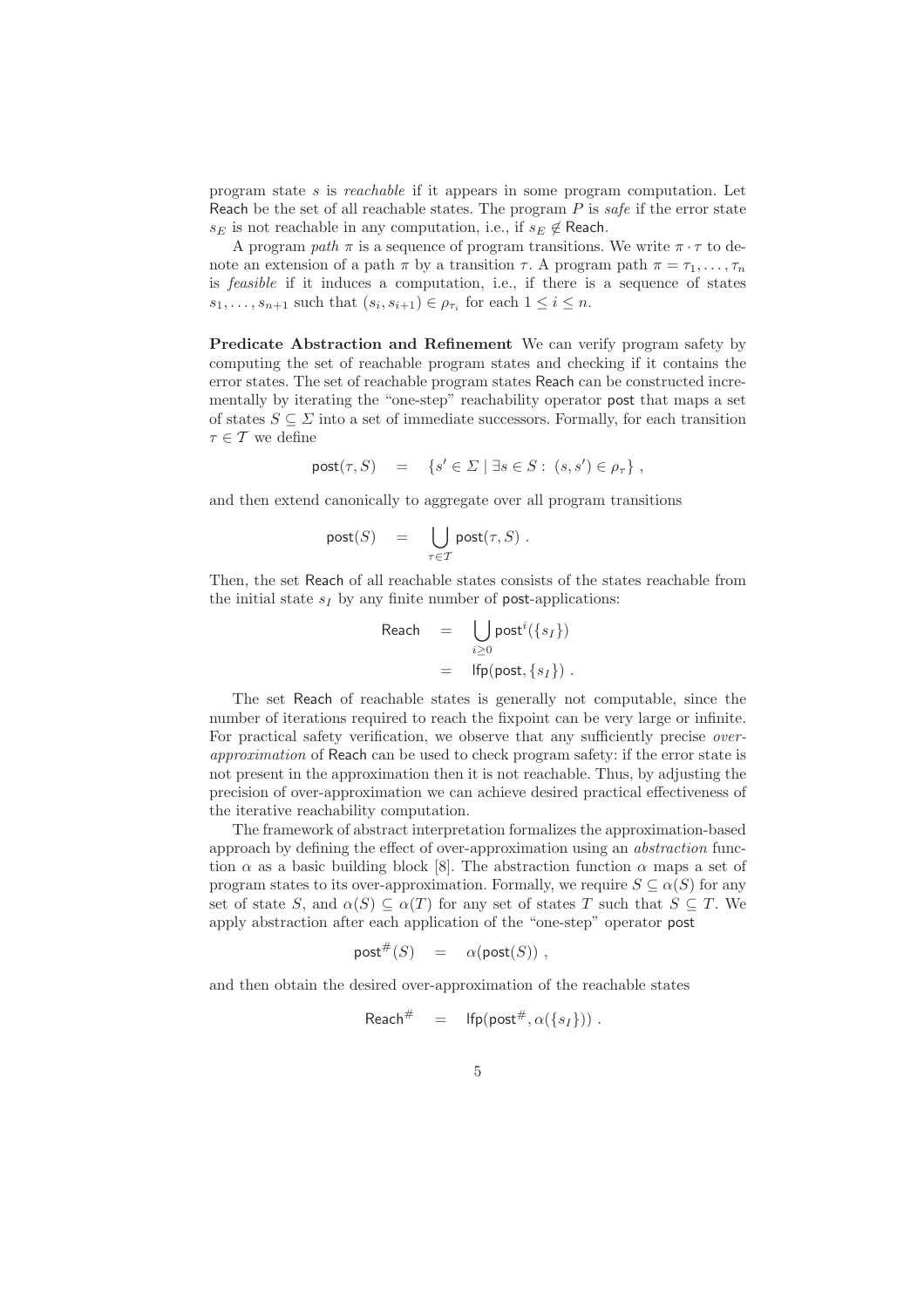program state s is reachable if it appears in some program computation. Let Reach be the set of all reachable states. The program  $P$  is safe if the error state  $s_E$  is not reachable in any computation, i.e., if  $s_E \notin$  Reach.

A program path  $\pi$  is a sequence of program transitions. We write  $\pi \cdot \tau$  to denote an extension of a path  $\pi$  by a transition  $\tau$ . A program path  $\pi = \tau_1, \ldots, \tau_n$ is feasible if it induces a computation, i.e., if there is a sequence of states  $s_1, \ldots, s_{n+1}$  such that  $(s_i, s_{i+1}) \in \rho_{\tau_i}$  for each  $1 \leq i \leq n$ .

Predicate Abstraction and Refinement We can verify program safety by computing the set of reachable program states and checking if it contains the error states. The set of reachable program states Reach can be constructed incrementally by iterating the "one-step" reachability operator post that maps a set of states  $S \subseteq \Sigma$  into a set of immediate successors. Formally, for each transition  $\tau \in \mathcal{T}$  we define

$$
\mathsf{post}(\tau, S) = \{ s' \in \Sigma \mid \exists s \in S : (s, s') \in \rho_\tau \},
$$

and then extend canonically to aggregate over all program transitions

$$
\mathsf{post}(S) = \bigcup_{\tau \in \mathcal{T}} \mathsf{post}(\tau, S) .
$$

Then, the set Reach of all reachable states consists of the states reachable from the initial state  $s_I$  by any finite number of **post-applications:** 

$$
\begin{array}{rcl} \mathsf{Reach} & = & \bigcup_{i \geq 0} \mathsf{post}^i(\{s_I\}) \\ & = & \mathsf{lfp}(\mathsf{post}, \{s_I\}) \ .\end{array}
$$

The set Reach of reachable states is generally not computable, since the number of iterations required to reach the fixpoint can be very large or infinite. For practical safety verification, we observe that any sufficiently precise *over*approximation of Reach can be used to check program safety: if the error state is not present in the approximation then it is not reachable. Thus, by adjusting the precision of over-approximation we can achieve desired practical effectiveness of the iterative reachability computation.

The framework of abstract interpretation formalizes the approximation-based approach by defining the effect of over-approximation using an abstraction function  $\alpha$  as a basic building block [8]. The abstraction function  $\alpha$  maps a set of program states to its over-approximation. Formally, we require  $S \subseteq \alpha(S)$  for any set of state S, and  $\alpha(S) \subseteq \alpha(T)$  for any set of states T such that  $S \subseteq T$ . We apply abstraction after each application of the "one-step" operator post

$$
\mathsf{post}^{\#}(S) = \alpha(\mathsf{post}(S)),
$$

and then obtain the desired over-approximation of the reachable states

$$
{\sf Reach}^{\#} \quad = \quad {\sf lfp}({\sf post}^{\#}, \alpha(\{s_I\})) \,\, .
$$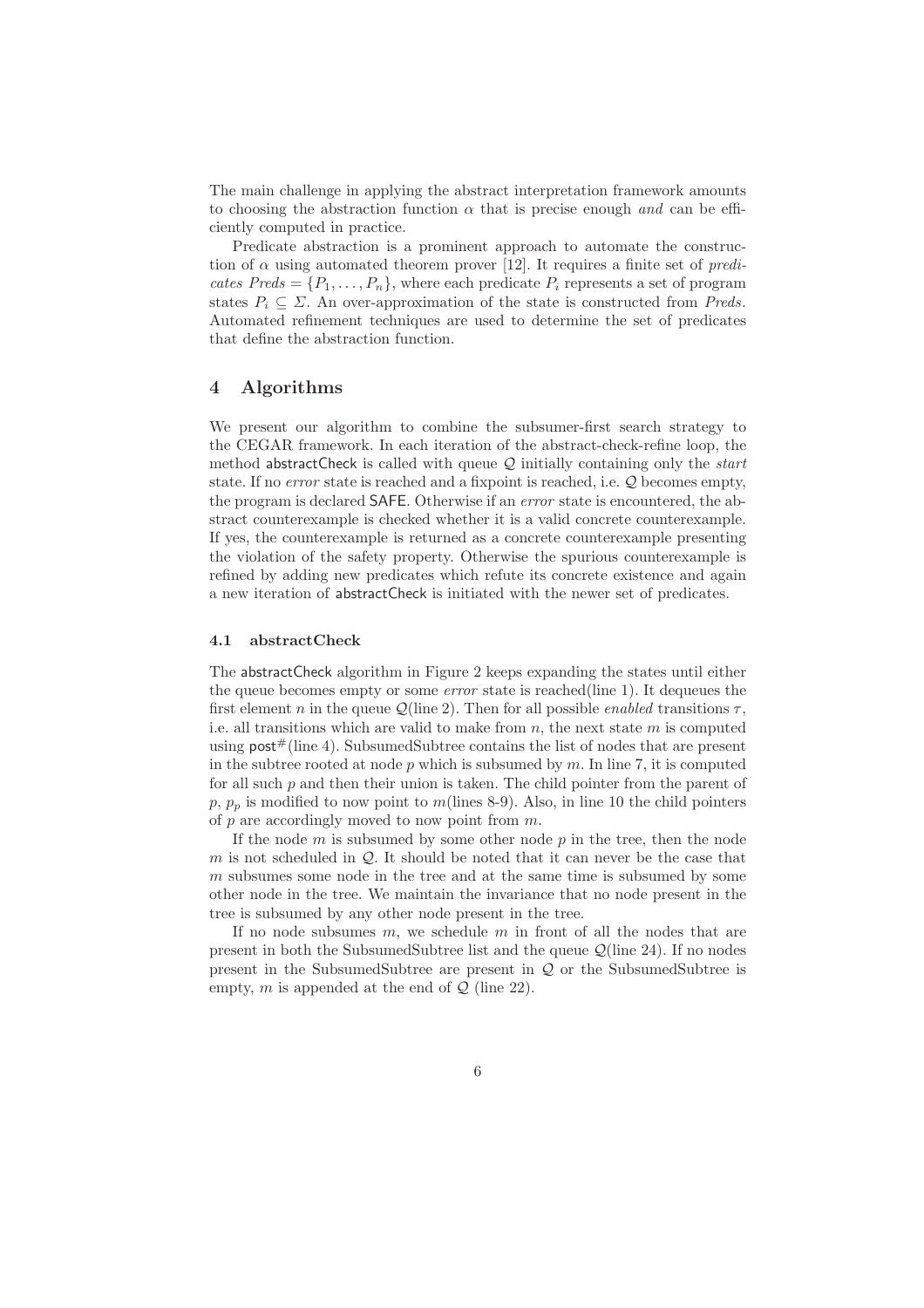The main challenge in applying the abstract interpretation framework amounts to choosing the abstraction function  $\alpha$  that is precise enough and can be efficiently computed in practice.

Predicate abstraction is a prominent approach to automate the construction of  $\alpha$  using automated theorem prover [12]. It requires a finite set of *predi*cates  $Preds = \{P_1, \ldots, P_n\}$ , where each predicate  $P_i$  represents a set of program states  $P_i \subseteq \Sigma$ . An over-approximation of the state is constructed from Preds. Automated refinement techniques are used to determine the set of predicates that define the abstraction function.

## 4 Algorithms

We present our algorithm to combine the subsumer-first search strategy to the CEGAR framework. In each iteration of the abstract-check-refine loop, the method abstractCheck is called with queue  $Q$  initially containing only the *start* state. If no *error* state is reached and a fixpoint is reached, i.e.  $Q$  becomes empty, the program is declared SAFE. Otherwise if an error state is encountered, the abstract counterexample is checked whether it is a valid concrete counterexample. If yes, the counterexample is returned as a concrete counterexample presenting the violation of the safety property. Otherwise the spurious counterexample is refined by adding new predicates which refute its concrete existence and again a new iteration of abstractCheck is initiated with the newer set of predicates.

#### 4.1 abstractCheck

The abstractCheck algorithm in Figure 2 keeps expanding the states until either the queue becomes empty or some error state is reached(line 1). It dequeues the first element n in the queue  $\mathcal{Q}$ (line 2). Then for all possible *enabled* transitions  $\tau$ , i.e. all transitions which are valid to make from n, the next state  $m$  is computed using  $post#(line 4)$ . SubsumedSubtree contains the list of nodes that are present in the subtree rooted at node  $p$  which is subsumed by  $m$ . In line 7, it is computed for all such  $p$  and then their union is taken. The child pointer from the parent of  $p, p_p$  is modified to now point to m(lines 8-9). Also, in line 10 the child pointers of  $p$  are accordingly moved to now point from  $m$ .

If the node  $m$  is subsumed by some other node  $p$  in the tree, then the node m is not scheduled in  $\mathcal{Q}$ . It should be noted that it can never be the case that m subsumes some node in the tree and at the same time is subsumed by some other node in the tree. We maintain the invariance that no node present in the tree is subsumed by any other node present in the tree.

If no node subsumes  $m$ , we schedule  $m$  in front of all the nodes that are present in both the SubsumedSubtree list and the queue  $\mathcal{Q}$ (line 24). If no nodes present in the SubsumedSubtree are present in  $Q$  or the SubsumedSubtree is empty, m is appended at the end of  $\mathcal{Q}$  (line 22).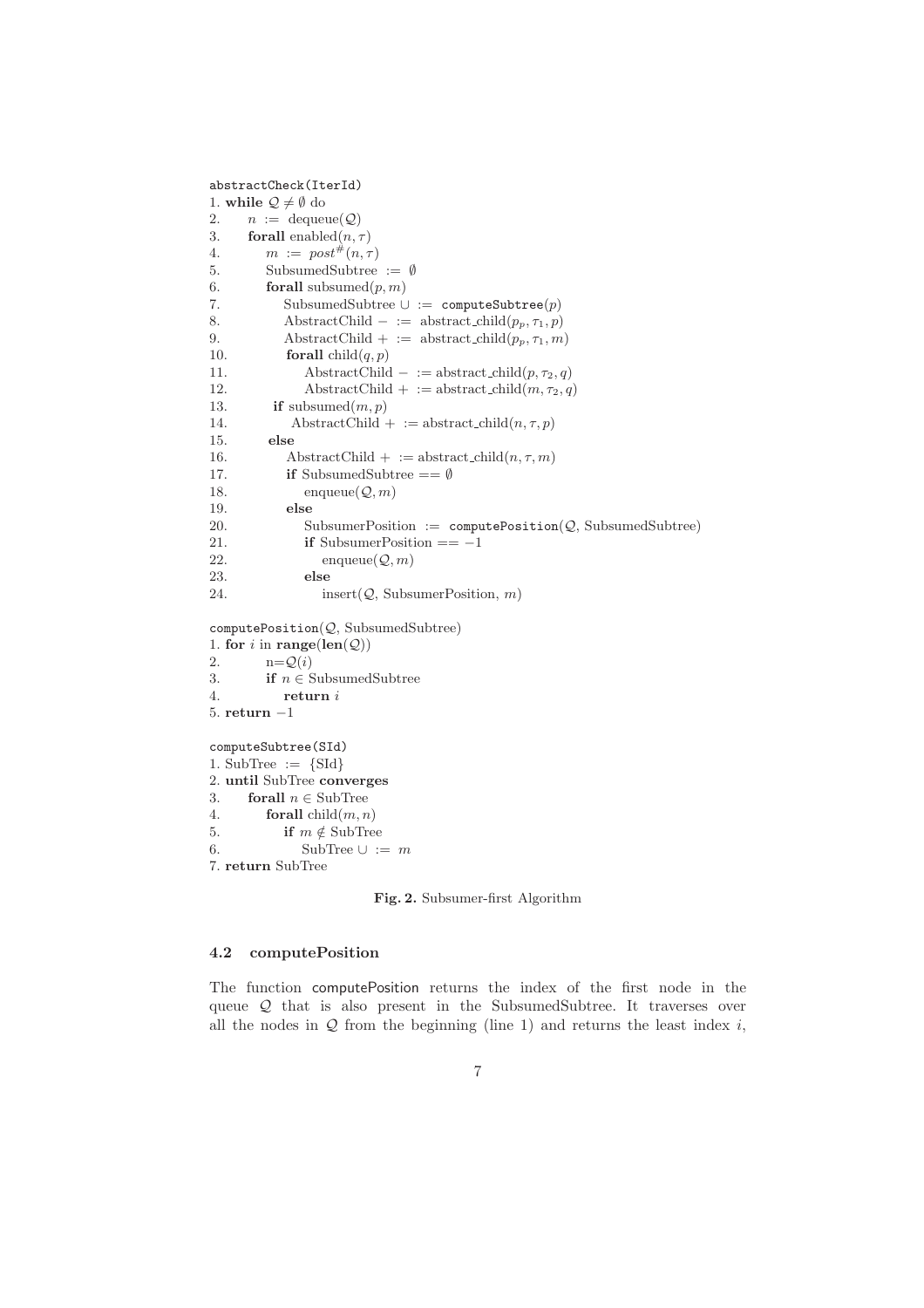```
abstractCheck(IterId)
1. while \mathcal{Q} \neq \emptyset do
2. n := \text{dequeue}(\mathcal{Q})3. forall enabled(n, \tau)4. m := post^{\#}(n, \tau)5. SubsumedSubtree := ∅
6. forall subsumed(p, m)7. SubsumedSubtree \cup := computeSubtree(p)
8. AbstractChild – := abstract_child(p_p, \tau_1, p)9. AbstractChild + := abstract_child(p_p, \tau_1, m)10. forall child(q, p)11. AbstractChild – := abstract_child(p, \tau_2, q)
12. AbstractChild + := abstract_child(m, \tau_2, q)13. if subsumed(m, p)14. AbstractChild + := abstract_child(n, \tau, p)15. else
16. AbstractChild + := abstract_child(n, \tau, m)17. if SubsumedSubtree == Ø
18. enqueue(\mathcal{Q}, m)19. else
20. SubsumerPosition := \text{computePosition}(\mathcal{Q}, \text{SubsumedSubtree})21. if SubsumerPosition == -122. enqueue(Q, m)23. else
24. insert(Q, \text{SubsumerPosition}, m)computePosition(Q, SubsumedSubtree)1. for i in range(len(Q))
2. n = \mathcal{Q}(i)3. if n \in SubsumedSubtree
4. return i
5. return −1
computeSubtree(SId)
1. SubTree := \{SId\}2. until SubTree converges
3. forall n \in SubTree
4. forall child(m, n)5. if m \notin \text{SubTree}6. SubTree ∪ := m7. return SubTree
```
Fig. 2. Subsumer-first Algorithm

#### 4.2 computePosition

The function computePosition returns the index of the first node in the queue Q that is also present in the SubsumedSubtree. It traverses over all the nodes in  $Q$  from the beginning (line 1) and returns the least index i,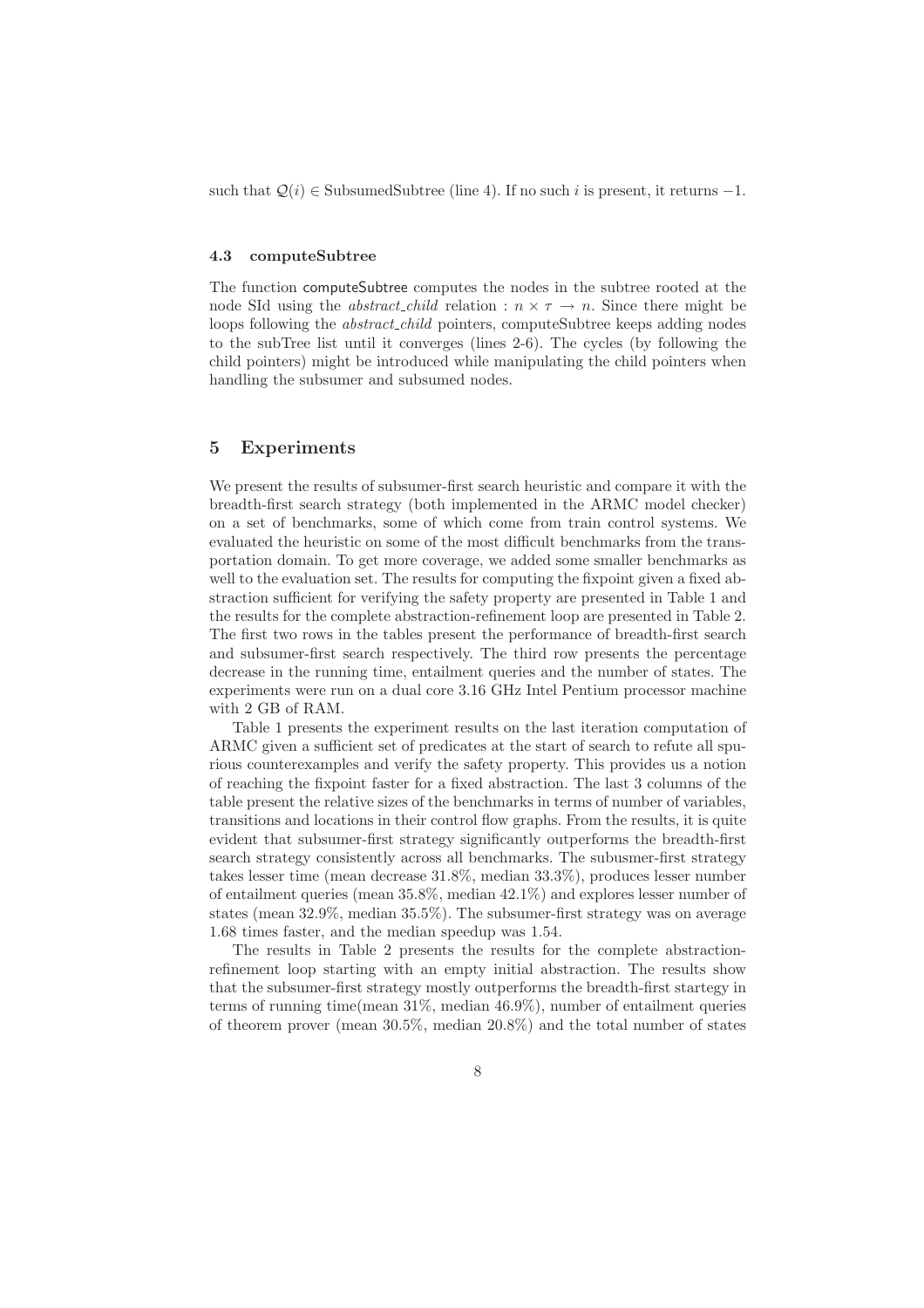such that  $Q(i) \in SubsumedSubtree$  (line 4). If no such i is present, it returns -1.

#### 4.3 computeSubtree

The function computeSubtree computes the nodes in the subtree rooted at the node SId using the *abstract\_child* relation :  $n \times \tau \rightarrow n$ . Since there might be loops following the *abstract\_child* pointers, computeSubtree keeps adding nodes to the subTree list until it converges (lines 2-6). The cycles (by following the child pointers) might be introduced while manipulating the child pointers when handling the subsumer and subsumed nodes.

## 5 Experiments

We present the results of subsumer-first search heuristic and compare it with the breadth-first search strategy (both implemented in the ARMC model checker) on a set of benchmarks, some of which come from train control systems. We evaluated the heuristic on some of the most difficult benchmarks from the transportation domain. To get more coverage, we added some smaller benchmarks as well to the evaluation set. The results for computing the fixpoint given a fixed abstraction sufficient for verifying the safety property are presented in Table 1 and the results for the complete abstraction-refinement loop are presented in Table 2. The first two rows in the tables present the performance of breadth-first search and subsumer-first search respectively. The third row presents the percentage decrease in the running time, entailment queries and the number of states. The experiments were run on a dual core 3.16 GHz Intel Pentium processor machine with 2 GB of RAM.

Table 1 presents the experiment results on the last iteration computation of ARMC given a sufficient set of predicates at the start of search to refute all spurious counterexamples and verify the safety property. This provides us a notion of reaching the fixpoint faster for a fixed abstraction. The last 3 columns of the table present the relative sizes of the benchmarks in terms of number of variables, transitions and locations in their control flow graphs. From the results, it is quite evident that subsumer-first strategy significantly outperforms the breadth-first search strategy consistently across all benchmarks. The subusmer-first strategy takes lesser time (mean decrease 31.8%, median 33.3%), produces lesser number of entailment queries (mean 35.8%, median 42.1%) and explores lesser number of states (mean 32.9%, median 35.5%). The subsumer-first strategy was on average 1.68 times faster, and the median speedup was 1.54.

The results in Table 2 presents the results for the complete abstractionrefinement loop starting with an empty initial abstraction. The results show that the subsumer-first strategy mostly outperforms the breadth-first startegy in terms of running time(mean 31%, median 46.9%), number of entailment queries of theorem prover (mean 30.5%, median 20.8%) and the total number of states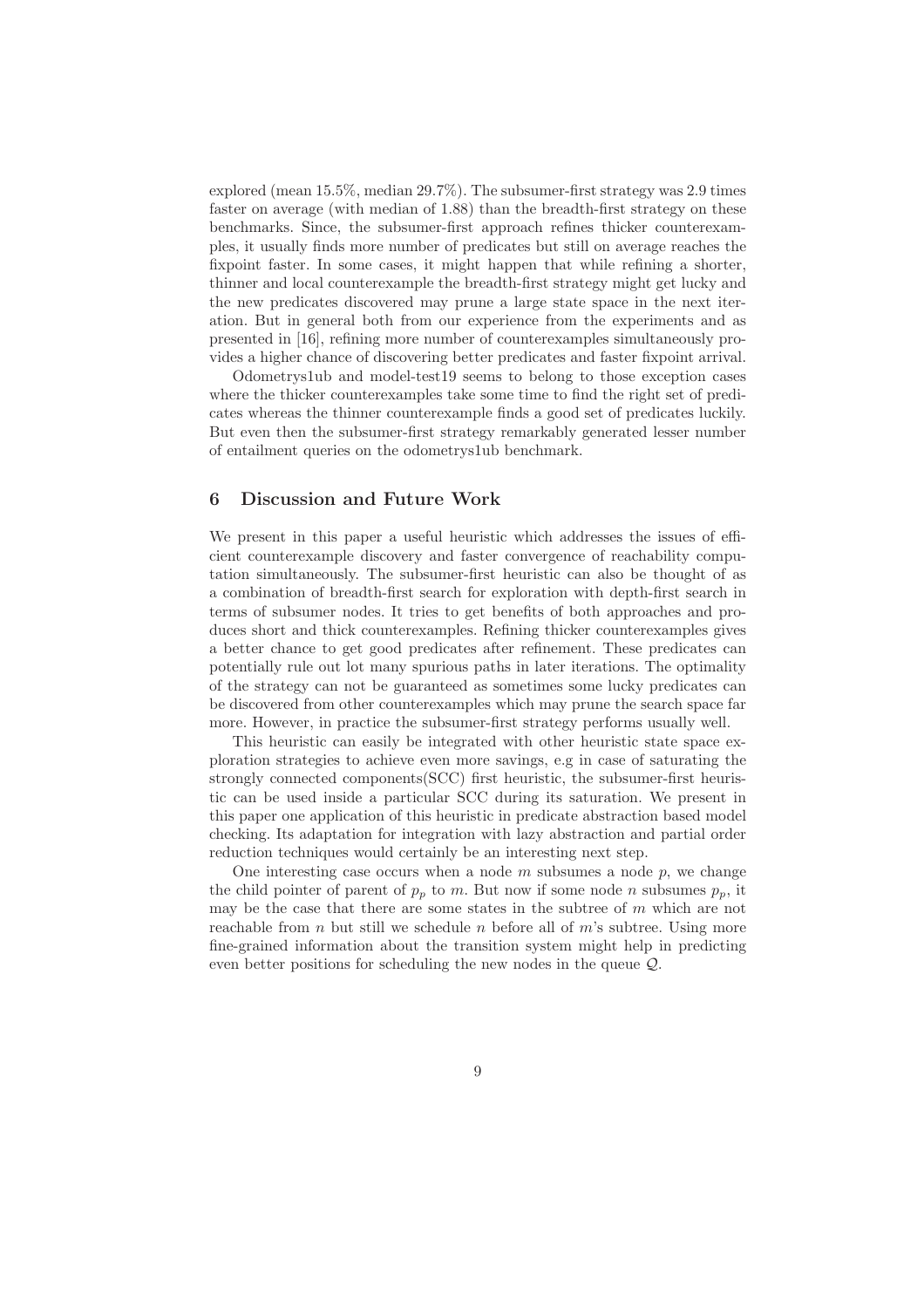explored (mean 15.5%, median 29.7%). The subsumer-first strategy was 2.9 times faster on average (with median of 1.88) than the breadth-first strategy on these benchmarks. Since, the subsumer-first approach refines thicker counterexamples, it usually finds more number of predicates but still on average reaches the fixpoint faster. In some cases, it might happen that while refining a shorter, thinner and local counterexample the breadth-first strategy might get lucky and the new predicates discovered may prune a large state space in the next iteration. But in general both from our experience from the experiments and as presented in [16], refining more number of counterexamples simultaneously provides a higher chance of discovering better predicates and faster fixpoint arrival.

Odometrys1ub and model-test19 seems to belong to those exception cases where the thicker counterexamples take some time to find the right set of predicates whereas the thinner counterexample finds a good set of predicates luckily. But even then the subsumer-first strategy remarkably generated lesser number of entailment queries on the odometrys1ub benchmark.

## 6 Discussion and Future Work

We present in this paper a useful heuristic which addresses the issues of efficient counterexample discovery and faster convergence of reachability computation simultaneously. The subsumer-first heuristic can also be thought of as a combination of breadth-first search for exploration with depth-first search in terms of subsumer nodes. It tries to get benefits of both approaches and produces short and thick counterexamples. Refining thicker counterexamples gives a better chance to get good predicates after refinement. These predicates can potentially rule out lot many spurious paths in later iterations. The optimality of the strategy can not be guaranteed as sometimes some lucky predicates can be discovered from other counterexamples which may prune the search space far more. However, in practice the subsumer-first strategy performs usually well.

This heuristic can easily be integrated with other heuristic state space exploration strategies to achieve even more savings, e.g in case of saturating the strongly connected components(SCC) first heuristic, the subsumer-first heuristic can be used inside a particular SCC during its saturation. We present in this paper one application of this heuristic in predicate abstraction based model checking. Its adaptation for integration with lazy abstraction and partial order reduction techniques would certainly be an interesting next step.

One interesting case occurs when a node  $m$  subsumes a node  $p$ , we change the child pointer of parent of  $p_p$  to m. But now if some node n subsumes  $p_p$ , it may be the case that there are some states in the subtree of  $m$  which are not reachable from n but still we schedule n before all of  $m$ 's subtree. Using more fine-grained information about the transition system might help in predicting even better positions for scheduling the new nodes in the queue Q.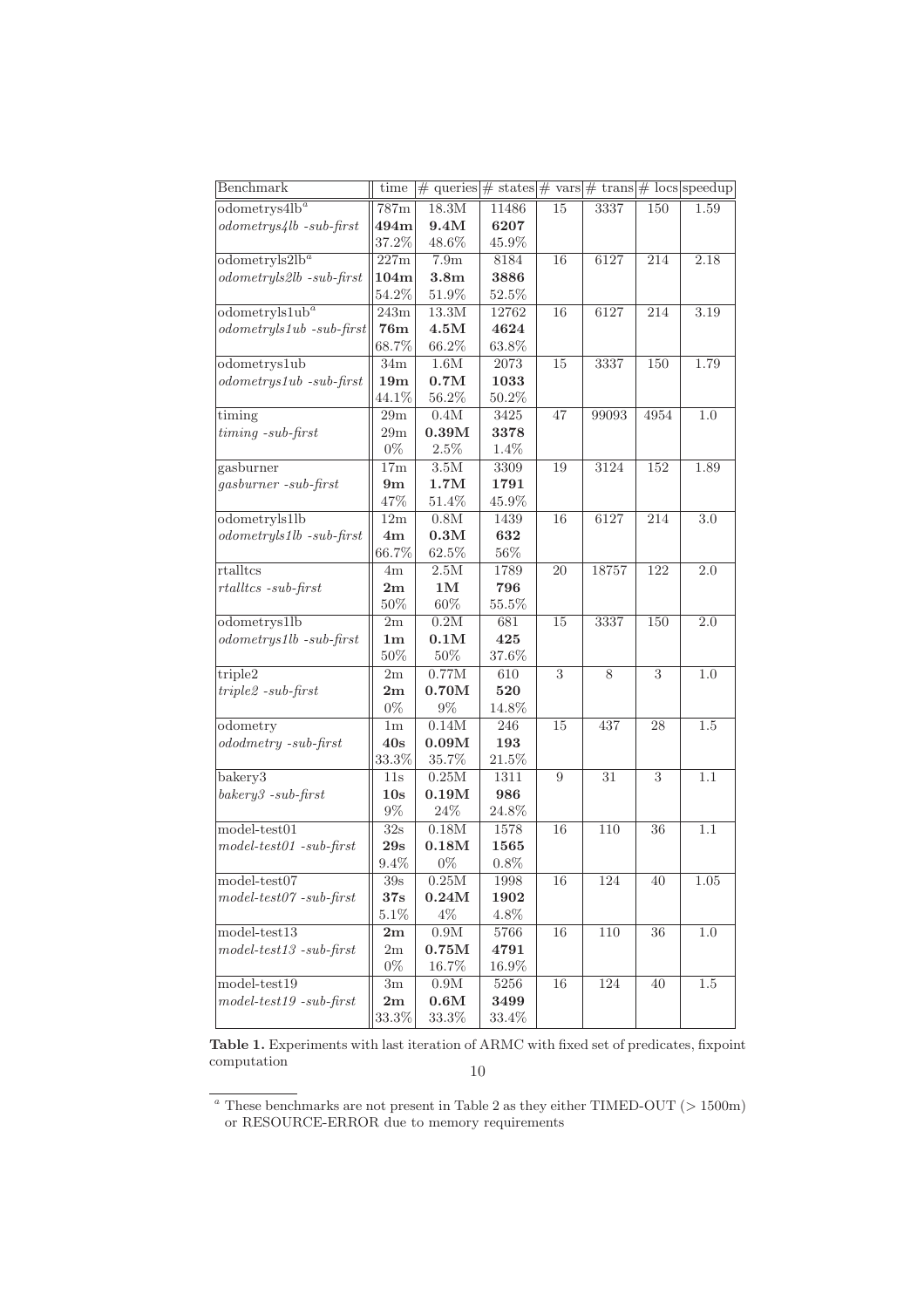| Benchmark                       | time                   | $\#$ queries $\#$ states $\#$ vars $\#$ trans $\#$ locs speedup |                 |                |       |                |         |
|---------------------------------|------------------------|-----------------------------------------------------------------|-----------------|----------------|-------|----------------|---------|
| odometrys4lb <sup>a</sup>       | 787m                   | 18.3M                                                           | 11486           | 15             | 3337  | 150            | 1.59    |
| $odometrys4lb - sub-first$      | 494m                   | 9.4M                                                            | 6207            |                |       |                |         |
|                                 | 37.2%                  | 48.6%                                                           | 45.9%           |                |       |                |         |
| odometryls2lb <sup>a</sup>      | 227m                   | 7.9m                                                            | 8184            | 16             | 6127  | 214            | 2.18    |
| $odometry$ ls $2lb - sub-first$ | 104m                   | 3.8m                                                            | 3886            |                |       |                |         |
|                                 | 54.2%                  | 51.9%                                                           | 52.5%           |                |       |                |         |
| odometrylslub <sup>a</sup>      | 243m                   | 13.3M                                                           | 12762           | 16             | 6127  | 214            | 3.19    |
| $odometry$ ls1ub -sub-first     | 76m                    | $4.5\rm{M}$                                                     | 4624            |                |       |                |         |
|                                 | 68.7%                  | 66.2%                                                           | 63.8%           |                |       |                |         |
| $odometry$ slub                 | 34m                    | $1.6M$                                                          | 2073            | 15             | 3337  | 150            | 1.79    |
| $odometrys1ub -sub-first$       | 19 <sub>m</sub>        | 0.7M                                                            | 1033            |                |       |                |         |
|                                 | 44.1%                  | 56.2%                                                           | 50.2%           |                |       |                |         |
| timing                          | 29m                    | 0.4M                                                            | 3425            | 47             | 99093 | 4954           | 1.0     |
| $t$ <i>iming</i> $-sub-first$   | 29m                    | 0.39M                                                           | 3378            |                |       |                |         |
|                                 | $0\%$                  | $2.5\%$                                                         | $1.4\%$         |                |       |                |         |
| gasburner                       | 17m                    | 3.5M                                                            | 3309            | 19             | 3124  | 152            | 1.89    |
| gasburner -sub-first            | 9m                     | 1.7M                                                            | 1791            |                |       |                |         |
|                                 | 47%                    | $51.4\%$                                                        | 45.9%           |                |       |                |         |
| odometryls1lb                   | 12m                    | 0.8M                                                            | 1439            | 16             | 6127  | 214            | $3.0\,$ |
| $odometryls1lb - sub-first$     | 4m                     | 0.3M                                                            | 632             |                |       |                |         |
|                                 | $66.7\%$               | $62.5\%$                                                        | $56\%$          |                |       |                |         |
| $rtall$ t $cs$                  | 4m                     | 2.5M                                                            | 1789            | 20             | 18757 | 122            | 2.0     |
| $r$ tallt $cs$ -sub-first       | 2m                     | 1M                                                              | 796             |                |       |                |         |
|                                 | $50\%$                 | $60\%$                                                          | 55.5%           |                |       |                |         |
| odometrys1lb                    | $2\mathrm{m}$          | 0.2M                                                            | 681             | 15             | 3337  | 150            | $2.0\,$ |
| $odometrys1lb - sub-first$      | $1\mathrm{m}$          | 0.1M                                                            | 425             |                |       |                |         |
|                                 | $50\%$                 | $50\%$                                                          | 37.6%           |                |       |                |         |
| triple2                         | 2m                     | 0.77M                                                           | 610             | $\overline{3}$ | 8     | $\overline{3}$ | $1.0\,$ |
| $triple2 -sub-first$            | $2\mathrm{m}$          | 0.70M                                                           | 520             |                |       |                |         |
|                                 | $0\%$                  | $9\%$                                                           | 14.8%           |                |       |                |         |
| odometry                        | 1 <sub>m</sub>         | 0.14M                                                           | 246             | 15             | 437   | 28             | $1.5\,$ |
| $ododmetry -sub-first$          | 40s                    | 0.09M                                                           | 193             |                |       |                |         |
|                                 | $33.3\%$               | 35.7%                                                           | 21.5%           |                |       |                |         |
| bakery <sub>3</sub>             | 11s                    | 0.25M                                                           | 1311            | $\overline{9}$ | 31    | $\overline{3}$ | 1.1     |
| $bakery3 - sub-first$           | 10s                    | 0.19M                                                           | 986             |                |       |                |         |
|                                 | $9\%$                  | 24\%                                                            | $24.8\%$        |                |       |                |         |
| $model-test01$                  |                        |                                                                 |                 |                | 110   | 36             | 1.1     |
| $model-test01 - sub-first$      | 32s                    | $0.18\rm M$<br>0.18M                                            | 1578            | 16             |       |                |         |
|                                 | $29s$<br>$9.4\%$       | $0\%$                                                           | 1565<br>$0.8\%$ |                |       |                |         |
| $model-test07$                  |                        |                                                                 |                 |                |       |                |         |
| $model-test07 - sub-first$      | 39s<br>37s             | $0.25\rm{M}$<br>$0.24\rm{M}$                                    | 1998<br>1902    | 16             | 124   | 40             | 1.05    |
|                                 |                        |                                                                 |                 |                |       |                |         |
|                                 | 5.1%                   | $4\%$                                                           | 4.8%            |                |       |                |         |
| $model-test13$                  | 2m                     | $0.9\rm{M}$                                                     | 5766            | 16             | 110   | 36             | 1.0     |
| $model-test13 - sub-first$      | 2m                     | $0.75\rm{M}$                                                    | 4791            |                |       |                |         |
|                                 | $0\%$                  | 16.7%                                                           | 16.9%           |                |       |                |         |
| $model-test19$                  | $3\mathrm{m}$          | $0.9\rm{M}$                                                     | $5256\,$        | 16             | 124   | 40             | $1.5\,$ |
| $model-test19 - sub-first$      | $\mathbf{2}\mathbf{m}$ | 0.6M                                                            | 3499            |                |       |                |         |
|                                 | $33.3\%$               | $33.3\%$                                                        | $33.4\%$        |                |       |                |         |

Table 1. Experiments with last iteration of ARMC with fixed set of predicates, fixpoint computation 10

<sup>&</sup>lt;sup>a</sup> These benchmarks are not present in Table 2 as they either TIMED-OUT ( $> 1500m$ ) or RESOURCE-ERROR due to memory requirements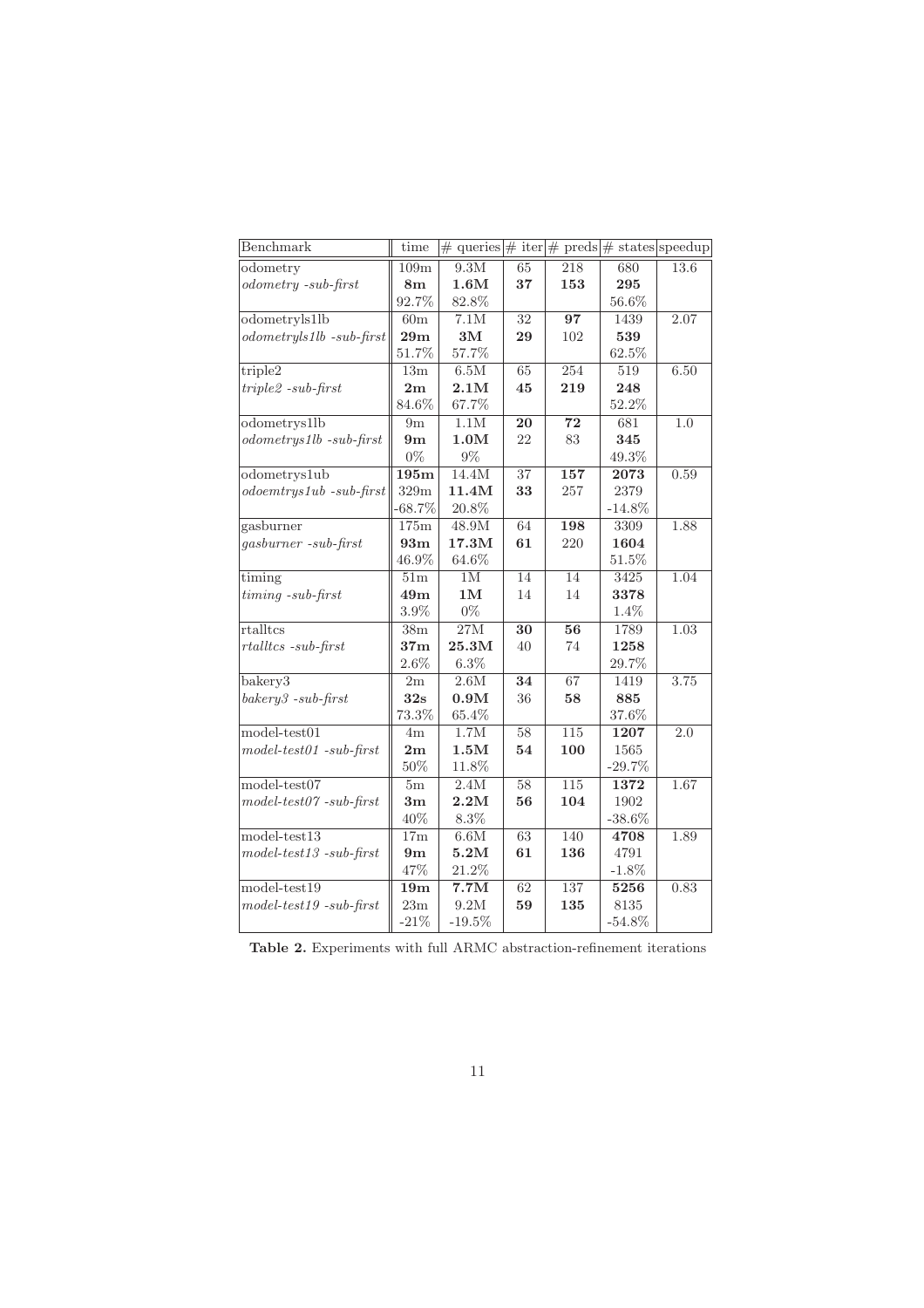| Benchmark                     | time            | $\#$ queries $\#$ iter $\#$ preds $\#$ states speedup |                 |                  |           |                  |
|-------------------------------|-----------------|-------------------------------------------------------|-----------------|------------------|-----------|------------------|
| odometry                      | 109m            | 9.3M                                                  | 65              | 218              | 680       | 13.6             |
| $odometry - sub-first$        | 8 <sub>m</sub>  | 1.6M                                                  | 37              | 153              | 295       |                  |
|                               | $92.7\%$        | 82.8%                                                 |                 |                  | 56.6%     |                  |
| odometryls1lb                 | 60 <sub>m</sub> | 7.1M                                                  | 32              | 97               | 1439      | 2.07             |
| $odometry$ ls1lb -sub-first   | 29m             | $3\mathrm{M}$                                         | 29              | 102              | 539       |                  |
|                               | $51.7\%$        | 57.7%                                                 |                 |                  | $62.5\%$  |                  |
| $\overline{\text{triple2}}$   | 13m             | 6.5M                                                  | 65              | 254              | 519       | 6.50             |
| $triple2 -sub-first$          | $2\mathrm{m}$   | 2.1M                                                  | 45              | 219              | 248       |                  |
|                               | 84.6%           | 67.7%                                                 |                 |                  | 52.2%     |                  |
| odometrys1lb                  | 9m              | $1.1M$                                                | 20              | 72               | 681       | 1.0              |
| $odometrys1lb - sub-first$    | 9m              | 1.0M                                                  | 22              | 83               | 345       |                  |
|                               | $0\%$           | $9\%$                                                 |                 |                  | $49.3\%$  |                  |
| odometrys1ub                  | 195m            | 14.4M                                                 | 37              | 157              | 2073      | 0.59             |
| $odoemtrys1ub -sub-first$     | 329m            | 11.4M                                                 | 33              | 257              | 2379      |                  |
|                               | $-68.7\%$       | $20.8\%$                                              |                 |                  | $-14.8\%$ |                  |
| gasburner                     | 175m            | $48.9\rm{M}$                                          | 64              | 198              | 3309      | 1.88             |
| gasburner -sub-first          | 93m             | 17.3M                                                 | 61              | 220              | 1604      |                  |
|                               | 46.9%           | $64.6\%$                                              |                 |                  | 51.5%     |                  |
| timing                        | 51m             | 1M                                                    | $\overline{14}$ | $\overline{14}$  | 3425      | 1.04             |
| $t$ <i>iming</i> $-sub-first$ | 49m             | 1M                                                    | 14              | 14               | 3378      |                  |
|                               | 3.9%            | $0\%$                                                 |                 |                  | 1.4%      |                  |
| rtalltcs                      | 38m             | 27M                                                   | 30              | 56               | 1789      | 1.03             |
| $r$ tallt $cs$ -sub-first     | 37 <sub>m</sub> | 25.3M                                                 | 40              | 74               | 1258      |                  |
|                               | $2.6\%$         | $6.3\%$                                               |                 |                  | 29.7%     |                  |
| bakery <sub>3</sub>           | 2m              | 2.6M                                                  | 34              | 67               | 1419      | 3.75             |
| $bakery3 - sub-first$         | 32s             | 0.9M                                                  | 36              | 58               | 885       |                  |
|                               | 73.3%           | 65.4%                                                 |                 |                  | 37.6%     |                  |
| $model-test01$                | 4m              | 1.7M                                                  | $\overline{58}$ | $\overline{115}$ | 1207      | $\overline{2.0}$ |
| $model-test01 - sub-first$    | 2m              | 1.5M                                                  | 54              | 100              | 1565      |                  |
|                               | 50%             | 11.8%                                                 |                 |                  | $-29.7%$  |                  |
| $model-test07$                | 5m              | 2.4M                                                  | $\overline{58}$ | 115              | 1372      | 1.67             |
| $model-test07 - sub-first$    | 3m              | 2.2M                                                  | 56              | 104              | 1902      |                  |
|                               | 40%             | $8.3\%$                                               |                 |                  | $-38.6\%$ |                  |
| $model-test13$                | 17 <sub>m</sub> | 6.6M                                                  | 63              | 140              | 4708      | 1.89             |
| $model-test13 - sub-first$    | 9 <sub>m</sub>  | 5.2M                                                  | 61              | 136              | 4791      |                  |
|                               | 47%             | 21.2%                                                 |                 |                  | $-1.8\%$  |                  |
| $model-test19$                | 19m             | 7.7M                                                  | 62              | 137              | 5256      | 0.83             |
| $model-test19 - sub-first$    | $23\mathrm{m}$  | 9.2M                                                  | 59              | 135              | 8135      |                  |
|                               | $-21\%$         | $-19.5%$                                              |                 |                  | $-54.8\%$ |                  |

Table 2. Experiments with full ARMC abstraction-refinement iterations